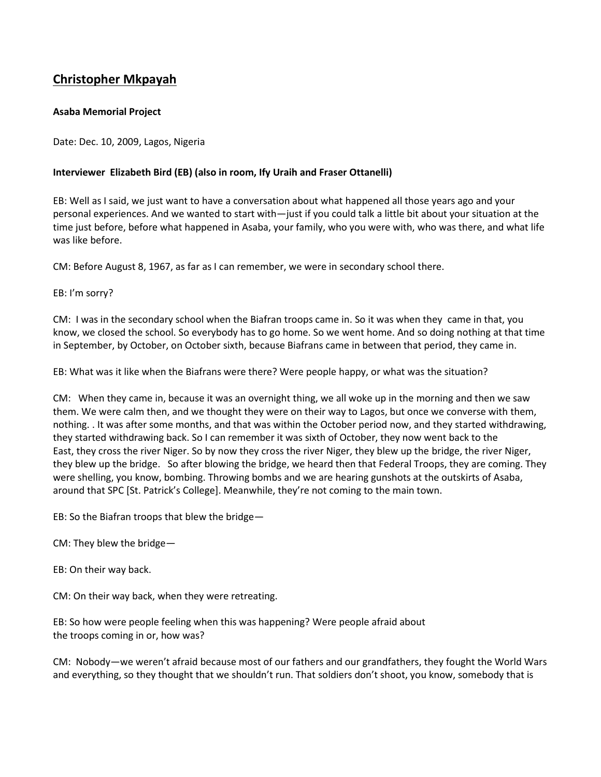## **Christopher Mkpayah**

## **Asaba Memorial Project**

Date: Dec. 10, 2009, Lagos, Nigeria

## **Interviewer Elizabeth Bird (EB) (also in room, Ify Uraih and Fraser Ottanelli)**

EB: Well as I said, we just want to have a conversation about what happened all those years ago and your personal experiences. And we wanted to start with—just if you could talk a little bit about your situation at the time just before, before what happened in Asaba, your family, who you were with, who was there, and what life was like before.

CM: Before August 8, 1967, as far as I can remember, we were in secondary school there.

EB: I'm sorry?

CM: I was in the secondary school when the Biafran troops came in. So it was when they came in that, you know, we closed the school. So everybody has to go home. So we went home. And so doing nothing at that time in September, by October, on October sixth, because Biafrans came in between that period, they came in.

EB: What was it like when the Biafrans were there? Were people happy, or what was the situation?

CM: When they came in, because it was an overnight thing, we all woke up in the morning and then we saw them. We were calm then, and we thought they were on their way to Lagos, but once we converse with them, nothing. . It was after some months, and that was within the October period now, and they started withdrawing, they started withdrawing back. So I can remember it was sixth of October, they now went back to the East, they cross the river Niger. So by now they cross the river Niger, they blew up the bridge, the river Niger, they blew up the bridge. So after blowing the bridge, we heard then that Federal Troops, they are coming. They were shelling, you know, bombing. Throwing bombs and we are hearing gunshots at the outskirts of Asaba, around that SPC [St. Patrick's College]. Meanwhile, they're not coming to the main town.

EB: So the Biafran troops that blew the bridge—

- CM: They blew the bridge—
- EB: On their way back.

CM: On their way back, when they were retreating.

EB: So how were people feeling when this was happening? Were people afraid about the troops coming in or, how was?

CM: Nobody—we weren't afraid because most of our fathers and our grandfathers, they fought the World Wars and everything, so they thought that we shouldn't run. That soldiers don't shoot, you know, somebody that is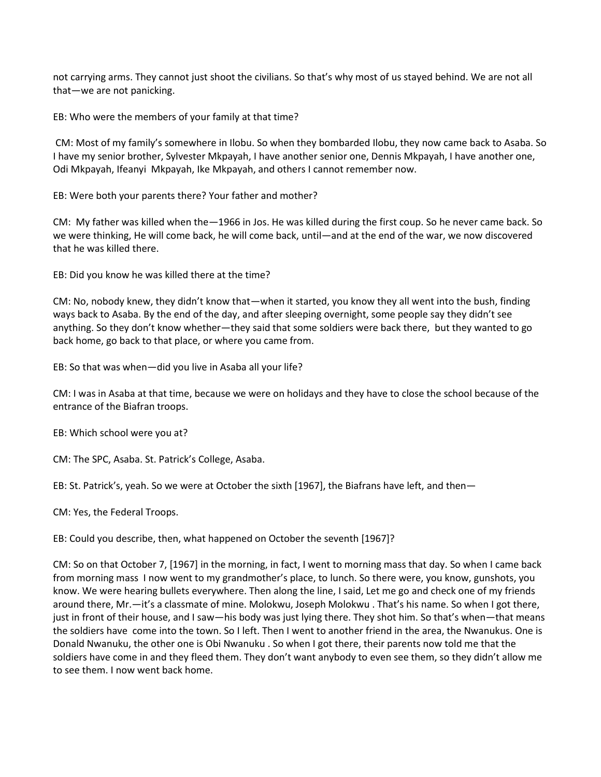not carrying arms. They cannot just shoot the civilians. So that's why most of us stayed behind. We are not all that—we are not panicking.

EB: Who were the members of your family at that time?

CM: Most of my family's somewhere in Ilobu. So when they bombarded Ilobu, they now came back to Asaba. So I have my senior brother, Sylvester Mkpayah, I have another senior one, Dennis Mkpayah, I have another one, Odi Mkpayah, Ifeanyi Mkpayah, Ike Mkpayah, and others I cannot remember now.

EB: Were both your parents there? Your father and mother?

CM: My father was killed when the—1966 in Jos. He was killed during the first coup. So he never came back. So we were thinking, He will come back, he will come back, until—and at the end of the war, we now discovered that he was killed there.

EB: Did you know he was killed there at the time?

CM: No, nobody knew, they didn't know that—when it started, you know they all went into the bush, finding ways back to Asaba. By the end of the day, and after sleeping overnight, some people say they didn't see anything. So they don't know whether—they said that some soldiers were back there, but they wanted to go back home, go back to that place, or where you came from.

EB: So that was when—did you live in Asaba all your life?

CM: I was in Asaba at that time, because we were on holidays and they have to close the school because of the entrance of the Biafran troops.

EB: Which school were you at?

CM: The SPC, Asaba. St. Patrick's College, Asaba.

EB: St. Patrick's, yeah. So we were at October the sixth [1967], the Biafrans have left, and then—

CM: Yes, the Federal Troops.

EB: Could you describe, then, what happened on October the seventh [1967]?

CM: So on that October 7, [1967] in the morning, in fact, I went to morning mass that day. So when I came back from morning mass I now went to my grandmother's place, to lunch. So there were, you know, gunshots, you know. We were hearing bullets everywhere. Then along the line, I said, Let me go and check one of my friends around there, Mr.—it's a classmate of mine. Molokwu, Joseph Molokwu . That's his name. So when I got there, just in front of their house, and I saw—his body was just lying there. They shot him. So that's when—that means the soldiers have come into the town. So I left. Then I went to another friend in the area, the Nwanukus. One is Donald Nwanuku, the other one is Obi Nwanuku . So when I got there, their parents now told me that the soldiers have come in and they fleed them. They don't want anybody to even see them, so they didn't allow me to see them. I now went back home.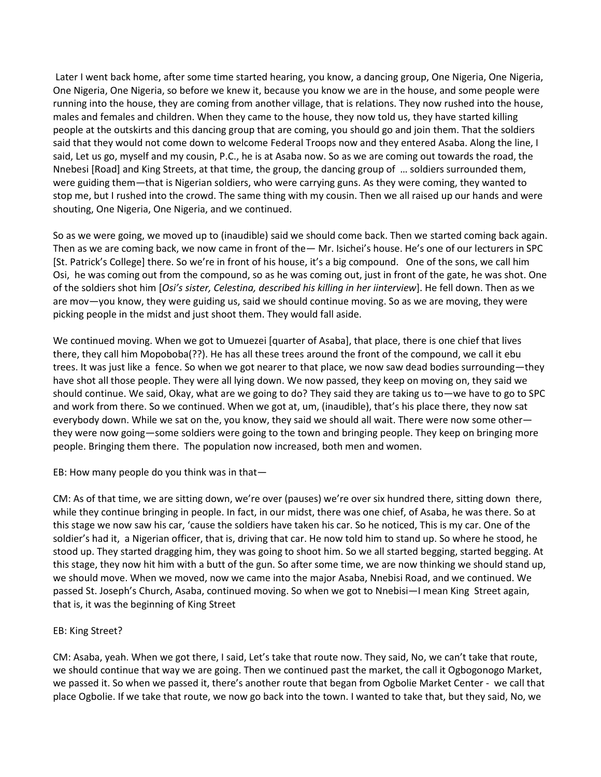Later I went back home, after some time started hearing, you know, a dancing group, One Nigeria, One Nigeria, One Nigeria, One Nigeria, so before we knew it, because you know we are in the house, and some people were running into the house, they are coming from another village, that is relations. They now rushed into the house, males and females and children. When they came to the house, they now told us, they have started killing people at the outskirts and this dancing group that are coming, you should go and join them. That the soldiers said that they would not come down to welcome Federal Troops now and they entered Asaba. Along the line, I said, Let us go, myself and my cousin, P.C., he is at Asaba now. So as we are coming out towards the road, the Nnebesi [Road] and King Streets, at that time, the group, the dancing group of … soldiers surrounded them, were guiding them—that is Nigerian soldiers, who were carrying guns. As they were coming, they wanted to stop me, but I rushed into the crowd. The same thing with my cousin. Then we all raised up our hands and were shouting, One Nigeria, One Nigeria, and we continued.

So as we were going, we moved up to (inaudible) said we should come back. Then we started coming back again. Then as we are coming back, we now came in front of the— Mr. Isichei's house. He's one of our lecturers in SPC [St. Patrick's College] there. So we're in front of his house, it's a big compound. One of the sons, we call him Osi, he was coming out from the compound, so as he was coming out, just in front of the gate, he was shot. One of the soldiers shot him [*Osi's sister, Celestina, described his killing in her iinterview*]. He fell down. Then as we are mov—you know, they were guiding us, said we should continue moving. So as we are moving, they were picking people in the midst and just shoot them. They would fall aside.

We continued moving. When we got to Umuezei [quarter of Asaba], that place, there is one chief that lives there, they call him Mopoboba(??). He has all these trees around the front of the compound, we call it ebu trees. It was just like a fence. So when we got nearer to that place, we now saw dead bodies surrounding—they have shot all those people. They were all lying down. We now passed, they keep on moving on, they said we should continue. We said, Okay, what are we going to do? They said they are taking us to—we have to go to SPC and work from there. So we continued. When we got at, um, (inaudible), that's his place there, they now sat everybody down. While we sat on the, you know, they said we should all wait. There were now some other they were now going—some soldiers were going to the town and bringing people. They keep on bringing more people. Bringing them there. The population now increased, both men and women.

EB: How many people do you think was in that—

CM: As of that time, we are sitting down, we're over (pauses) we're over six hundred there, sitting down there, while they continue bringing in people. In fact, in our midst, there was one chief, of Asaba, he was there. So at this stage we now saw his car, 'cause the soldiers have taken his car. So he noticed, This is my car. One of the soldier's had it, a Nigerian officer, that is, driving that car. He now told him to stand up. So where he stood, he stood up. They started dragging him, they was going to shoot him. So we all started begging, started begging. At this stage, they now hit him with a butt of the gun. So after some time, we are now thinking we should stand up, we should move. When we moved, now we came into the major Asaba, Nnebisi Road, and we continued. We passed St. Joseph's Church, Asaba, continued moving. So when we got to Nnebisi—I mean King Street again, that is, it was the beginning of King Street

## EB: King Street?

CM: Asaba, yeah. When we got there, I said, Let's take that route now. They said, No, we can't take that route, we should continue that way we are going. Then we continued past the market, the call it Ogbogonogo Market, we passed it. So when we passed it, there's another route that began from Ogbolie Market Center - we call that place Ogbolie. If we take that route, we now go back into the town. I wanted to take that, but they said, No, we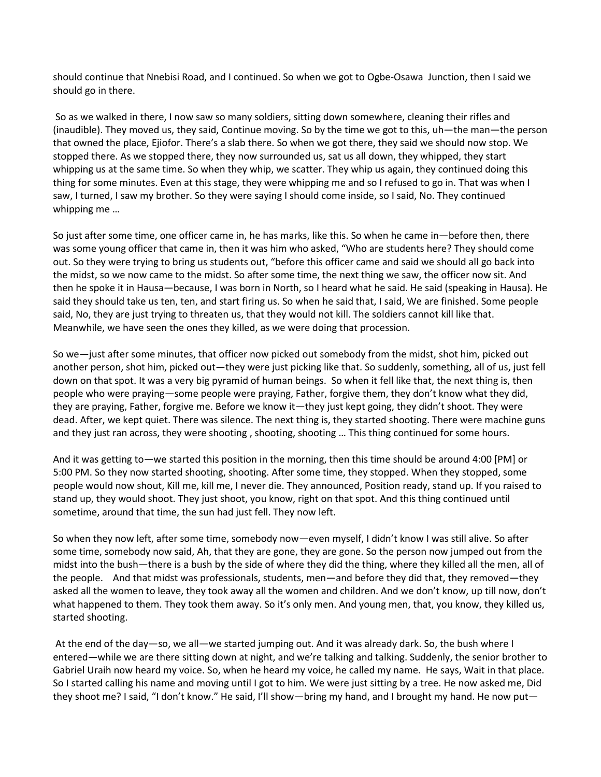should continue that Nnebisi Road, and I continued. So when we got to Ogbe-Osawa Junction, then I said we should go in there.

So as we walked in there, I now saw so many soldiers, sitting down somewhere, cleaning their rifles and (inaudible). They moved us, they said, Continue moving. So by the time we got to this, uh—the man—the person that owned the place, Ejiofor. There's a slab there. So when we got there, they said we should now stop. We stopped there. As we stopped there, they now surrounded us, sat us all down, they whipped, they start whipping us at the same time. So when they whip, we scatter. They whip us again, they continued doing this thing for some minutes. Even at this stage, they were whipping me and so I refused to go in. That was when I saw, I turned, I saw my brother. So they were saying I should come inside, so I said, No. They continued whipping me …

So just after some time, one officer came in, he has marks, like this. So when he came in—before then, there was some young officer that came in, then it was him who asked, "Who are students here? They should come out. So they were trying to bring us students out, "before this officer came and said we should all go back into the midst, so we now came to the midst. So after some time, the next thing we saw, the officer now sit. And then he spoke it in Hausa—because, I was born in North, so I heard what he said. He said (speaking in Hausa). He said they should take us ten, ten, and start firing us. So when he said that, I said, We are finished. Some people said, No, they are just trying to threaten us, that they would not kill. The soldiers cannot kill like that. Meanwhile, we have seen the ones they killed, as we were doing that procession.

So we—just after some minutes, that officer now picked out somebody from the midst, shot him, picked out another person, shot him, picked out—they were just picking like that. So suddenly, something, all of us, just fell down on that spot. It was a very big pyramid of human beings. So when it fell like that, the next thing is, then people who were praying—some people were praying, Father, forgive them, they don't know what they did, they are praying, Father, forgive me. Before we know it—they just kept going, they didn't shoot. They were dead. After, we kept quiet. There was silence. The next thing is, they started shooting. There were machine guns and they just ran across, they were shooting , shooting, shooting … This thing continued for some hours.

And it was getting to—we started this position in the morning, then this time should be around 4:00 [PM] or 5:00 PM. So they now started shooting, shooting. After some time, they stopped. When they stopped, some people would now shout, Kill me, kill me, I never die. They announced, Position ready, stand up. If you raised to stand up, they would shoot. They just shoot, you know, right on that spot. And this thing continued until sometime, around that time, the sun had just fell. They now left.

So when they now left, after some time, somebody now—even myself, I didn't know I was still alive. So after some time, somebody now said, Ah, that they are gone, they are gone. So the person now jumped out from the midst into the bush—there is a bush by the side of where they did the thing, where they killed all the men, all of the people. And that midst was professionals, students, men—and before they did that, they removed—they asked all the women to leave, they took away all the women and children. And we don't know, up till now, don't what happened to them. They took them away. So it's only men. And young men, that, you know, they killed us, started shooting.

At the end of the day—so, we all—we started jumping out. And it was already dark. So, the bush where I entered—while we are there sitting down at night, and we're talking and talking. Suddenly, the senior brother to Gabriel Uraih now heard my voice. So, when he heard my voice, he called my name. He says, Wait in that place. So I started calling his name and moving until I got to him. We were just sitting by a tree. He now asked me, Did they shoot me? I said, "I don't know." He said, I'll show—bring my hand, and I brought my hand. He now put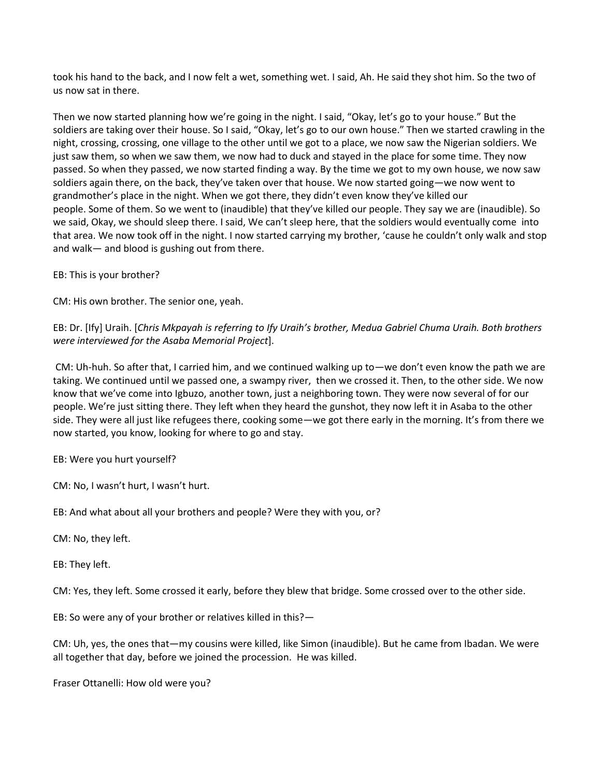took his hand to the back, and I now felt a wet, something wet. I said, Ah. He said they shot him. So the two of us now sat in there.

Then we now started planning how we're going in the night. I said, "Okay, let's go to your house." But the soldiers are taking over their house. So I said, "Okay, let's go to our own house." Then we started crawling in the night, crossing, crossing, one village to the other until we got to a place, we now saw the Nigerian soldiers. We just saw them, so when we saw them, we now had to duck and stayed in the place for some time. They now passed. So when they passed, we now started finding a way. By the time we got to my own house, we now saw soldiers again there, on the back, they've taken over that house. We now started going—we now went to grandmother's place in the night. When we got there, they didn't even know they've killed our people. Some of them. So we went to (inaudible) that they've killed our people. They say we are (inaudible). So we said, Okay, we should sleep there. I said, We can't sleep here, that the soldiers would eventually come into that area. We now took off in the night. I now started carrying my brother, 'cause he couldn't only walk and stop and walk— and blood is gushing out from there.

EB: This is your brother?

CM: His own brother. The senior one, yeah.

EB: Dr. [Ify] Uraih. [*Chris Mkpayah is referring to Ify Uraih's brother, Medua Gabriel Chuma Uraih. Both brothers were interviewed for the Asaba Memorial Project*].

CM: Uh-huh. So after that, I carried him, and we continued walking up to—we don't even know the path we are taking. We continued until we passed one, a swampy river, then we crossed it. Then, to the other side. We now know that we've come into Igbuzo, another town, just a neighboring town. They were now several of for our people. We're just sitting there. They left when they heard the gunshot, they now left it in Asaba to the other side. They were all just like refugees there, cooking some—we got there early in the morning. It's from there we now started, you know, looking for where to go and stay.

EB: Were you hurt yourself?

CM: No, I wasn't hurt, I wasn't hurt.

EB: And what about all your brothers and people? Were they with you, or?

CM: No, they left.

EB: They left.

CM: Yes, they left. Some crossed it early, before they blew that bridge. Some crossed over to the other side.

EB: So were any of your brother or relatives killed in this?—

CM: Uh, yes, the ones that—my cousins were killed, like Simon (inaudible). But he came from Ibadan. We were all together that day, before we joined the procession. He was killed.

Fraser Ottanelli: How old were you?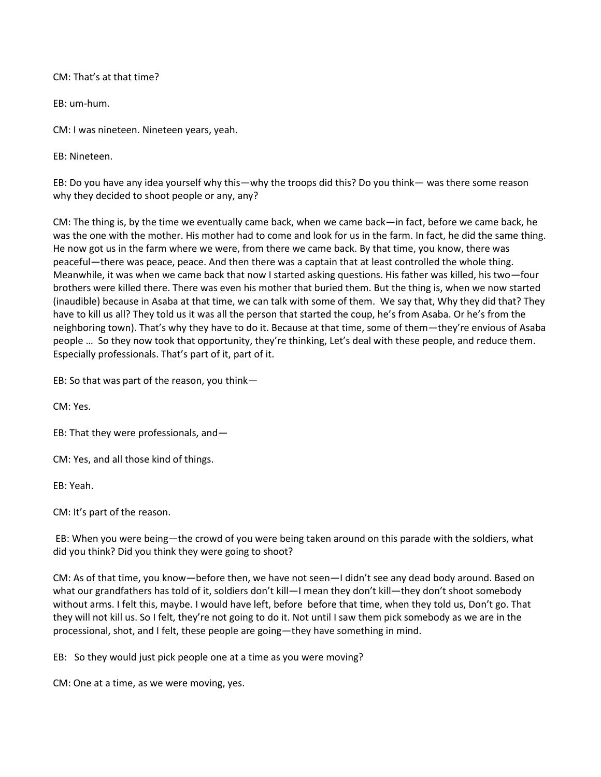CM: That's at that time?

EB: um-hum.

CM: I was nineteen. Nineteen years, yeah.

EB: Nineteen.

EB: Do you have any idea yourself why this—why the troops did this? Do you think— was there some reason why they decided to shoot people or any, any?

CM: The thing is, by the time we eventually came back, when we came back—in fact, before we came back, he was the one with the mother. His mother had to come and look for us in the farm. In fact, he did the same thing. He now got us in the farm where we were, from there we came back. By that time, you know, there was peaceful—there was peace, peace. And then there was a captain that at least controlled the whole thing. Meanwhile, it was when we came back that now I started asking questions. His father was killed, his two—four brothers were killed there. There was even his mother that buried them. But the thing is, when we now started (inaudible) because in Asaba at that time, we can talk with some of them. We say that, Why they did that? They have to kill us all? They told us it was all the person that started the coup, he's from Asaba. Or he's from the neighboring town). That's why they have to do it. Because at that time, some of them—they're envious of Asaba people … So they now took that opportunity, they're thinking, Let's deal with these people, and reduce them. Especially professionals. That's part of it, part of it.

EB: So that was part of the reason, you think—

CM: Yes.

EB: That they were professionals, and—

CM: Yes, and all those kind of things.

EB: Yeah.

CM: It's part of the reason.

EB: When you were being—the crowd of you were being taken around on this parade with the soldiers, what did you think? Did you think they were going to shoot?

CM: As of that time, you know—before then, we have not seen—I didn't see any dead body around. Based on what our grandfathers has told of it, soldiers don't kill—I mean they don't kill—they don't shoot somebody without arms. I felt this, maybe. I would have left, before before that time, when they told us, Don't go. That they will not kill us. So I felt, they're not going to do it. Not until I saw them pick somebody as we are in the processional, shot, and I felt, these people are going—they have something in mind.

EB: So they would just pick people one at a time as you were moving?

CM: One at a time, as we were moving, yes.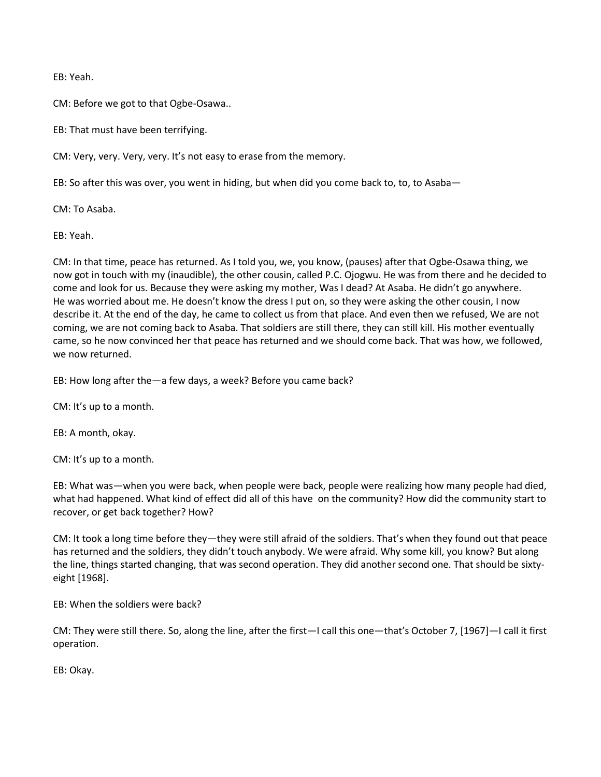EB: Yeah.

CM: Before we got to that Ogbe-Osawa..

EB: That must have been terrifying.

CM: Very, very. Very, very. It's not easy to erase from the memory.

EB: So after this was over, you went in hiding, but when did you come back to, to, to Asaba—

CM: To Asaba.

EB: Yeah.

CM: In that time, peace has returned. As I told you, we, you know, (pauses) after that Ogbe-Osawa thing, we now got in touch with my (inaudible), the other cousin, called P.C. Ojogwu. He was from there and he decided to come and look for us. Because they were asking my mother, Was I dead? At Asaba. He didn't go anywhere. He was worried about me. He doesn't know the dress I put on, so they were asking the other cousin, I now describe it. At the end of the day, he came to collect us from that place. And even then we refused, We are not coming, we are not coming back to Asaba. That soldiers are still there, they can still kill. His mother eventually came, so he now convinced her that peace has returned and we should come back. That was how, we followed, we now returned.

EB: How long after the—a few days, a week? Before you came back?

CM: It's up to a month.

EB: A month, okay.

CM: It's up to a month.

EB: What was—when you were back, when people were back, people were realizing how many people had died, what had happened. What kind of effect did all of this have on the community? How did the community start to recover, or get back together? How?

CM: It took a long time before they—they were still afraid of the soldiers. That's when they found out that peace has returned and the soldiers, they didn't touch anybody. We were afraid. Why some kill, you know? But along the line, things started changing, that was second operation. They did another second one. That should be sixtyeight [1968].

EB: When the soldiers were back?

CM: They were still there. So, along the line, after the first—I call this one—that's October 7, [1967]—I call it first operation.

EB: Okay.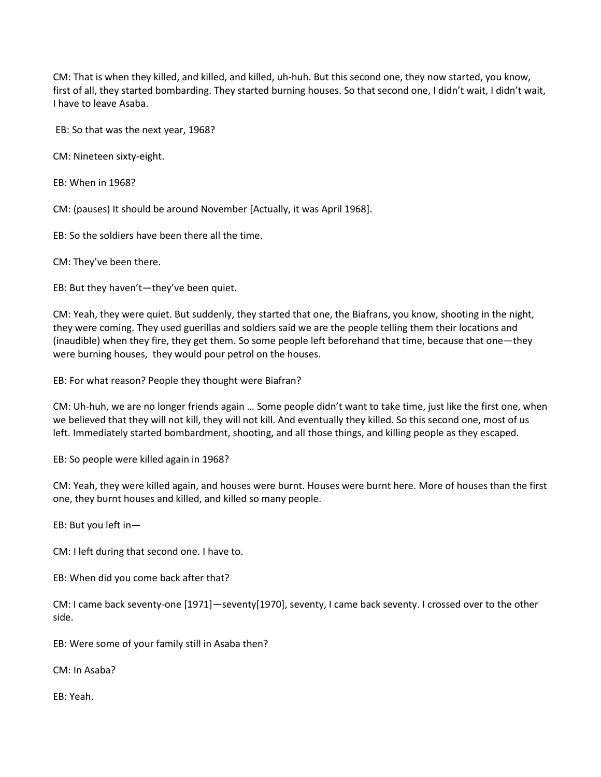CM: That is when they killed, and killed, and killed, uh-huh. But this second one, they now started, you know, first of all, they started bombarding. They started burning houses. So that second one, I didn't wait, I didn't wait, I have to leave Asaba.

EB: So that was the next year, 1968?

CM: Nineteen sixty-eight.

EB: When in 1968?

CM: (pauses) It should be around November [Actually, it was April 1968].

EB: So the soldiers have been there all the time.

CM: They've been there.

EB: But they haven't—they've been quiet.

CM: Yeah, they were quiet. But suddenly, they started that one, the Biafrans, you know, shooting in the night, they were coming. They used guerillas and soldiers said we are the people telling them their locations and (inaudible) when they fire, they get them. So some people left beforehand that time, because that one—they were burning houses, they would pour petrol on the houses.

EB: For what reason? People they thought were Biafran?

CM: Uh-huh, we are no longer friends again … Some people didn't want to take time, just like the first one, when we believed that they will not kill, they will not kill. And eventually they killed. So this second one, most of us left. Immediately started bombardment, shooting, and all those things, and killing people as they escaped.

EB: So people were killed again in 1968?

CM: Yeah, they were killed again, and houses were burnt. Houses were burnt here. More of houses than the first one, they burnt houses and killed, and killed so many people.

EB: But you left in—

CM: I left during that second one. I have to.

EB: When did you come back after that?

CM: I came back seventy-one [1971]—seventy[1970], seventy, I came back seventy. I crossed over to the other side.

EB: Were some of your family still in Asaba then?

CM: In Asaba?

EB: Yeah.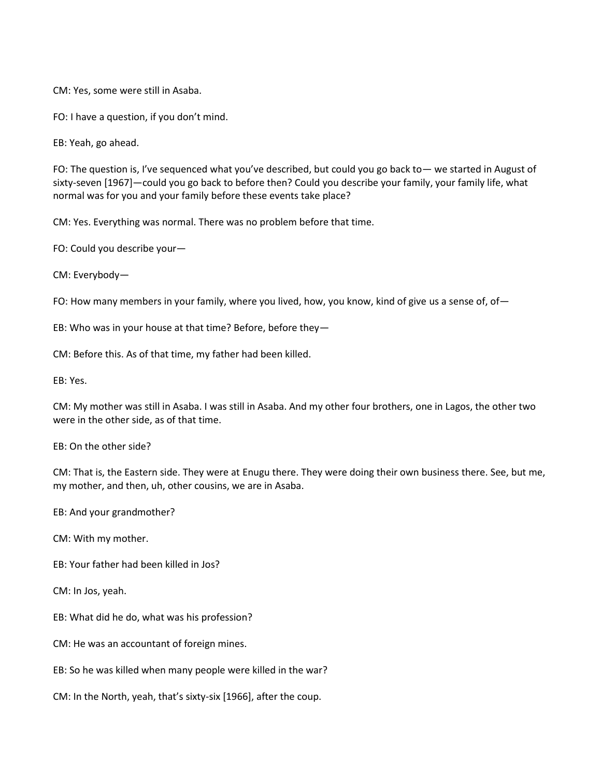CM: Yes, some were still in Asaba.

FO: I have a question, if you don't mind.

EB: Yeah, go ahead.

FO: The question is, I've sequenced what you've described, but could you go back to— we started in August of sixty-seven [1967]—could you go back to before then? Could you describe your family, your family life, what normal was for you and your family before these events take place?

CM: Yes. Everything was normal. There was no problem before that time.

FO: Could you describe your—

CM: Everybody—

FO: How many members in your family, where you lived, how, you know, kind of give us a sense of, of -

EB: Who was in your house at that time? Before, before they—

CM: Before this. As of that time, my father had been killed.

EB: Yes.

CM: My mother was still in Asaba. I was still in Asaba. And my other four brothers, one in Lagos, the other two were in the other side, as of that time.

EB: On the other side?

CM: That is, the Eastern side. They were at Enugu there. They were doing their own business there. See, but me, my mother, and then, uh, other cousins, we are in Asaba.

EB: And your grandmother?

CM: With my mother.

EB: Your father had been killed in Jos?

CM: In Jos, yeah.

EB: What did he do, what was his profession?

CM: He was an accountant of foreign mines.

EB: So he was killed when many people were killed in the war?

CM: In the North, yeah, that's sixty-six [1966], after the coup.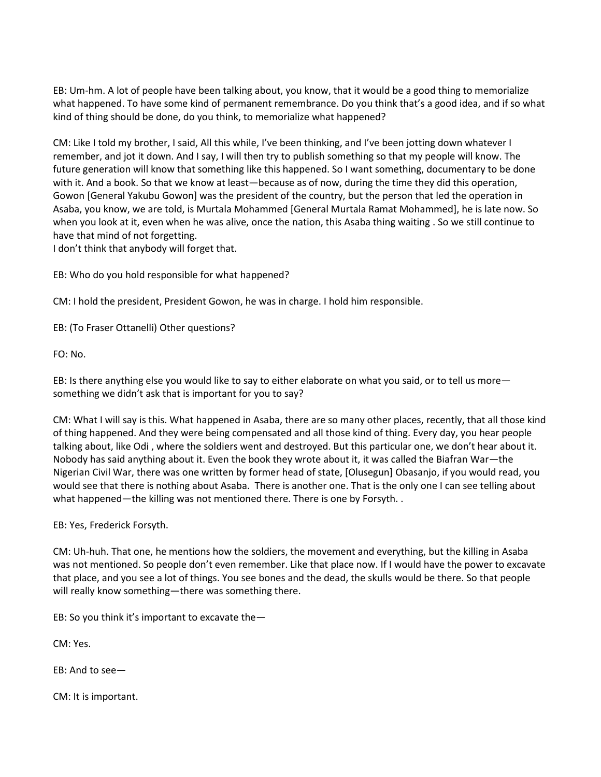EB: Um-hm. A lot of people have been talking about, you know, that it would be a good thing to memorialize what happened. To have some kind of permanent remembrance. Do you think that's a good idea, and if so what kind of thing should be done, do you think, to memorialize what happened?

CM: Like I told my brother, I said, All this while, I've been thinking, and I've been jotting down whatever I remember, and jot it down. And I say, I will then try to publish something so that my people will know. The future generation will know that something like this happened. So I want something, documentary to be done with it. And a book. So that we know at least—because as of now, during the time they did this operation, Gowon [General Yakubu Gowon] was the president of the country, but the person that led the operation in Asaba, you know, we are told, is Murtala Mohammed [General Murtala Ramat Mohammed], he is late now. So when you look at it, even when he was alive, once the nation, this Asaba thing waiting . So we still continue to have that mind of not forgetting.

I don't think that anybody will forget that.

EB: Who do you hold responsible for what happened?

CM: I hold the president, President Gowon, he was in charge. I hold him responsible.

EB: (To Fraser Ottanelli) Other questions?

FO: No.

EB: Is there anything else you would like to say to either elaborate on what you said, or to tell us more something we didn't ask that is important for you to say?

CM: What I will say is this. What happened in Asaba, there are so many other places, recently, that all those kind of thing happened. And they were being compensated and all those kind of thing. Every day, you hear people talking about, like Odi , where the soldiers went and destroyed. But this particular one, we don't hear about it. Nobody has said anything about it. Even the book they wrote about it, it was called the Biafran War—the Nigerian Civil War, there was one written by former head of state, [Olusegun] Obasanjo, if you would read, you would see that there is nothing about Asaba. There is another one. That is the only one I can see telling about what happened—the killing was not mentioned there. There is one by Forsyth. .

EB: Yes, Frederick Forsyth.

CM: Uh-huh. That one, he mentions how the soldiers, the movement and everything, but the killing in Asaba was not mentioned. So people don't even remember. Like that place now. If I would have the power to excavate that place, and you see a lot of things. You see bones and the dead, the skulls would be there. So that people will really know something—there was something there.

EB: So you think it's important to excavate the—

CM: Yes.

EB: And to see—

CM: It is important.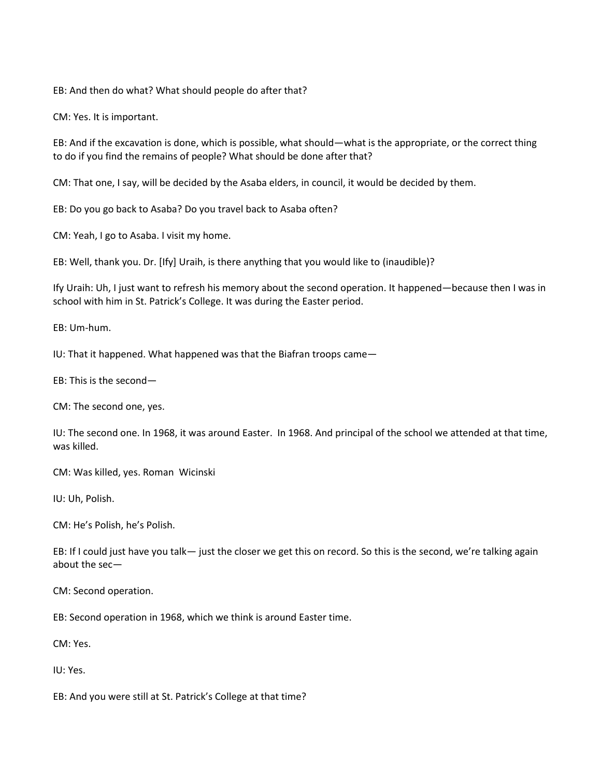EB: And then do what? What should people do after that?

CM: Yes. It is important.

EB: And if the excavation is done, which is possible, what should—what is the appropriate, or the correct thing to do if you find the remains of people? What should be done after that?

CM: That one, I say, will be decided by the Asaba elders, in council, it would be decided by them.

EB: Do you go back to Asaba? Do you travel back to Asaba often?

CM: Yeah, I go to Asaba. I visit my home.

EB: Well, thank you. Dr. [Ify] Uraih, is there anything that you would like to (inaudible)?

Ify Uraih: Uh, I just want to refresh his memory about the second operation. It happened—because then I was in school with him in St. Patrick's College. It was during the Easter period.

EB: Um-hum.

IU: That it happened. What happened was that the Biafran troops came—

EB: This is the second—

CM: The second one, yes.

IU: The second one. In 1968, it was around Easter. In 1968. And principal of the school we attended at that time, was killed.

CM: Was killed, yes. Roman Wicinski

IU: Uh, Polish.

CM: He's Polish, he's Polish.

EB: If I could just have you talk— just the closer we get this on record. So this is the second, we're talking again about the sec—

CM: Second operation.

EB: Second operation in 1968, which we think is around Easter time.

CM: Yes.

IU: Yes.

EB: And you were still at St. Patrick's College at that time?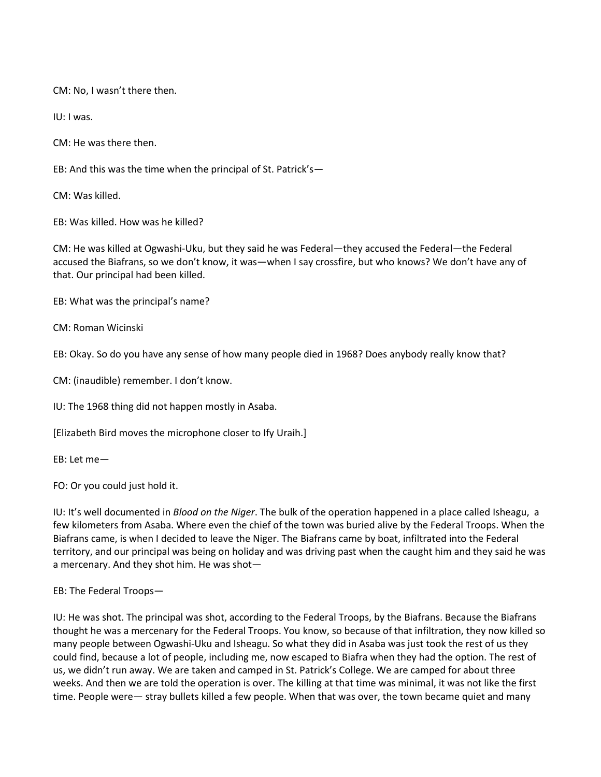CM: No, I wasn't there then.

IU: I was.

CM: He was there then.

EB: And this was the time when the principal of St. Patrick's—

CM: Was killed.

EB: Was killed. How was he killed?

CM: He was killed at Ogwashi-Uku, but they said he was Federal—they accused the Federal—the Federal accused the Biafrans, so we don't know, it was—when I say crossfire, but who knows? We don't have any of that. Our principal had been killed.

EB: What was the principal's name?

CM: Roman Wicinski

EB: Okay. So do you have any sense of how many people died in 1968? Does anybody really know that?

CM: (inaudible) remember. I don't know.

IU: The 1968 thing did not happen mostly in Asaba.

[Elizabeth Bird moves the microphone closer to Ify Uraih.]

EB: Let me—

FO: Or you could just hold it.

IU: It's well documented in *Blood on the Niger*. The bulk of the operation happened in a place called Isheagu, a few kilometers from Asaba. Where even the chief of the town was buried alive by the Federal Troops. When the Biafrans came, is when I decided to leave the Niger. The Biafrans came by boat, infiltrated into the Federal territory, and our principal was being on holiday and was driving past when the caught him and they said he was a mercenary. And they shot him. He was shot—

EB: The Federal Troops—

IU: He was shot. The principal was shot, according to the Federal Troops, by the Biafrans. Because the Biafrans thought he was a mercenary for the Federal Troops. You know, so because of that infiltration, they now killed so many people between Ogwashi-Uku and Isheagu. So what they did in Asaba was just took the rest of us they could find, because a lot of people, including me, now escaped to Biafra when they had the option. The rest of us, we didn't run away. We are taken and camped in St. Patrick's College. We are camped for about three weeks. And then we are told the operation is over. The killing at that time was minimal, it was not like the first time. People were— stray bullets killed a few people. When that was over, the town became quiet and many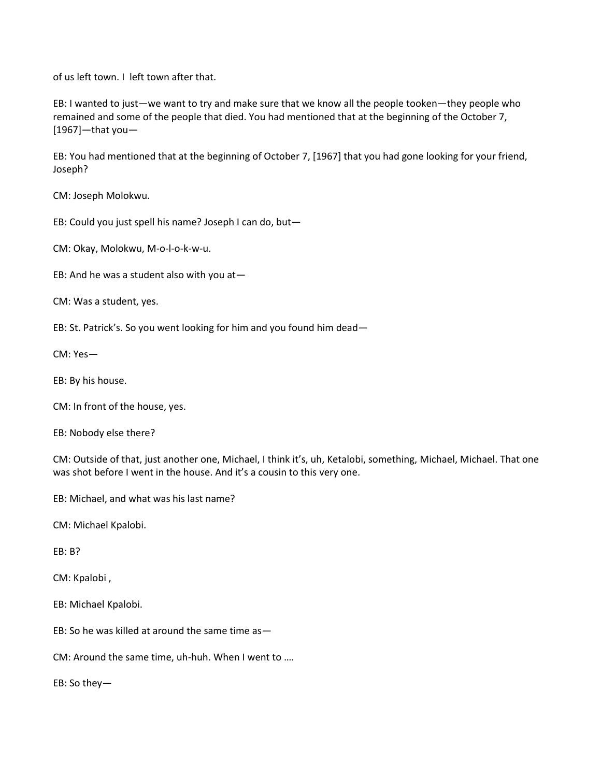of us left town. I left town after that.

EB: I wanted to just—we want to try and make sure that we know all the people tooken—they people who remained and some of the people that died. You had mentioned that at the beginning of the October 7, [1967]—that you—

EB: You had mentioned that at the beginning of October 7, [1967] that you had gone looking for your friend, Joseph?

CM: Joseph Molokwu.

EB: Could you just spell his name? Joseph I can do, but—

CM: Okay, Molokwu, M-o-l-o-k-w-u.

EB: And he was a student also with you at—

CM: Was a student, yes.

EB: St. Patrick's. So you went looking for him and you found him dead—

CM: Yes—

EB: By his house.

CM: In front of the house, yes.

EB: Nobody else there?

CM: Outside of that, just another one, Michael, I think it's, uh, Ketalobi, something, Michael, Michael. That one was shot before I went in the house. And it's a cousin to this very one.

EB: Michael, and what was his last name?

CM: Michael Kpalobi.

EB: B?

CM: Kpalobi ,

EB: Michael Kpalobi.

EB: So he was killed at around the same time as—

CM: Around the same time, uh-huh. When I went to ….

EB: So they—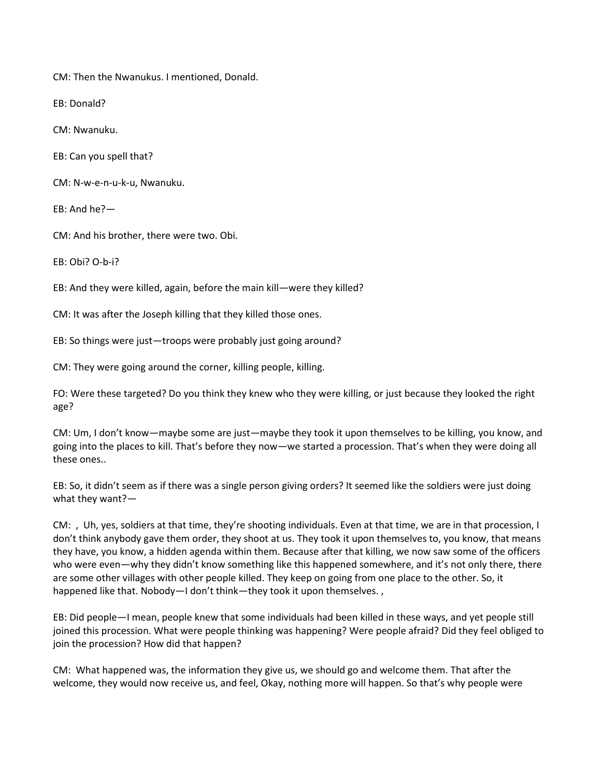CM: Then the Nwanukus. I mentioned, Donald.

EB: Donald?

CM: Nwanuku.

EB: Can you spell that?

CM: N-w-e-n-u-k-u, Nwanuku.

EB: And he?—

CM: And his brother, there were two. Obi.

EB: Obi? O-b-i?

EB: And they were killed, again, before the main kill—were they killed?

CM: It was after the Joseph killing that they killed those ones.

EB: So things were just—troops were probably just going around?

CM: They were going around the corner, killing people, killing.

FO: Were these targeted? Do you think they knew who they were killing, or just because they looked the right age?

CM: Um, I don't know—maybe some are just—maybe they took it upon themselves to be killing, you know, and going into the places to kill. That's before they now—we started a procession. That's when they were doing all these ones..

EB: So, it didn't seem as if there was a single person giving orders? It seemed like the soldiers were just doing what they want?—

CM: , Uh, yes, soldiers at that time, they're shooting individuals. Even at that time, we are in that procession, I don't think anybody gave them order, they shoot at us. They took it upon themselves to, you know, that means they have, you know, a hidden agenda within them. Because after that killing, we now saw some of the officers who were even—why they didn't know something like this happened somewhere, and it's not only there, there are some other villages with other people killed. They keep on going from one place to the other. So, it happened like that. Nobody—I don't think—they took it upon themselves.,

EB: Did people—I mean, people knew that some individuals had been killed in these ways, and yet people still joined this procession. What were people thinking was happening? Were people afraid? Did they feel obliged to join the procession? How did that happen?

CM: What happened was, the information they give us, we should go and welcome them. That after the welcome, they would now receive us, and feel, Okay, nothing more will happen. So that's why people were